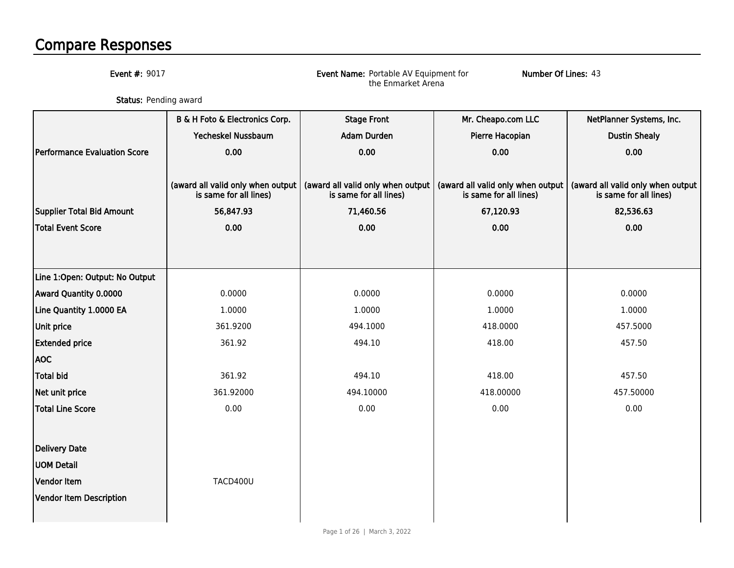## Compare Responses

Event #: 9017

Event Name: Portable AV Equipment for the Enmarket Arena

Number Of Lines: 43

**Status:** Pending award

|                                     | B & H Foto & Electronics Corp.                              | <b>Stage Front</b>                                          | Mr. Cheapo.com LLC                                          | NetPlanner Systems, Inc.                                    |
|-------------------------------------|-------------------------------------------------------------|-------------------------------------------------------------|-------------------------------------------------------------|-------------------------------------------------------------|
|                                     | Yecheskel Nussbaum                                          | <b>Adam Durden</b>                                          | Pierre Hacopian                                             | <b>Dustin Shealy</b>                                        |
| <b>Performance Evaluation Score</b> | 0.00                                                        | 0.00                                                        | 0.00                                                        | 0.00                                                        |
|                                     |                                                             |                                                             |                                                             |                                                             |
|                                     | (award all valid only when output<br>is same for all lines) | (award all valid only when output<br>is same for all lines) | (award all valid only when output<br>is same for all lines) | (award all valid only when output<br>is same for all lines) |
| Supplier Total Bid Amount           | 56,847.93                                                   | 71,460.56                                                   | 67,120.93                                                   | 82,536.63                                                   |
| <b>Total Event Score</b>            | 0.00                                                        | 0.00                                                        | 0.00                                                        | 0.00                                                        |
|                                     |                                                             |                                                             |                                                             |                                                             |
|                                     |                                                             |                                                             |                                                             |                                                             |
| Line 1:Open: Output: No Output      |                                                             |                                                             |                                                             |                                                             |
| Award Quantity 0.0000               | 0.0000                                                      | 0.0000                                                      | 0.0000                                                      | 0.0000                                                      |
| Line Quantity 1.0000 EA             | 1.0000                                                      | 1.0000                                                      | 1.0000                                                      | 1.0000                                                      |
| Unit price                          | 361.9200                                                    | 494.1000                                                    | 418.0000                                                    | 457.5000                                                    |
| <b>Extended price</b>               | 361.92                                                      | 494.10                                                      | 418.00                                                      | 457.50                                                      |
| <b>AOC</b>                          |                                                             |                                                             |                                                             |                                                             |
| Total bid                           | 361.92                                                      | 494.10                                                      | 418.00                                                      | 457.50                                                      |
| Net unit price                      | 361.92000                                                   | 494.10000                                                   | 418.00000                                                   | 457.50000                                                   |
| Total Line Score                    | 0.00                                                        | 0.00                                                        | 0.00                                                        | 0.00                                                        |
|                                     |                                                             |                                                             |                                                             |                                                             |
| <b>Delivery Date</b>                |                                                             |                                                             |                                                             |                                                             |
| <b>UOM Detail</b>                   |                                                             |                                                             |                                                             |                                                             |
| Vendor Item                         | TACD400U                                                    |                                                             |                                                             |                                                             |
| Vendor Item Description             |                                                             |                                                             |                                                             |                                                             |
|                                     |                                                             |                                                             |                                                             |                                                             |
|                                     |                                                             |                                                             |                                                             |                                                             |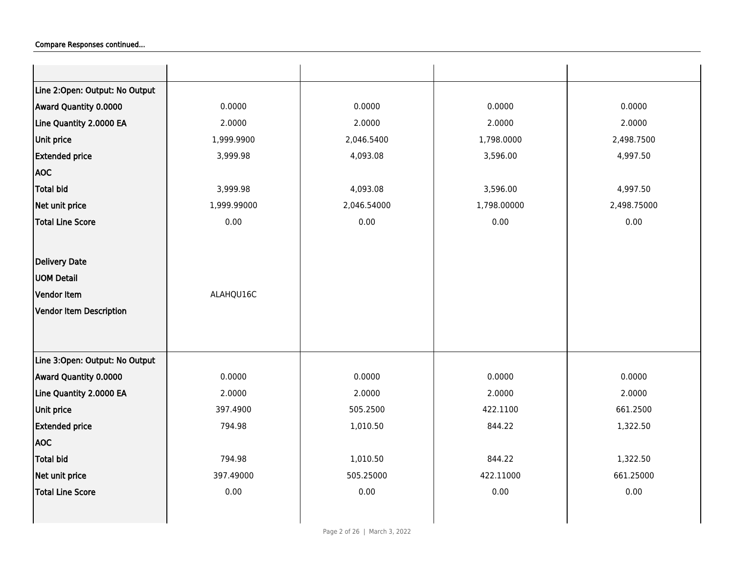| Line 2:Open: Output: No Output    |             |             |             |
|-----------------------------------|-------------|-------------|-------------|
|                                   |             |             |             |
| 0.0000<br>Award Quantity 0.0000   | 0.0000      | 0.0000      | 0.0000      |
| Line Quantity 2.0000 EA<br>2.0000 | 2.0000      | 2.0000      | 2.0000      |
| Unit price<br>1,999.9900          | 2,046.5400  | 1,798.0000  | 2,498.7500  |
| <b>Extended price</b><br>3,999.98 | 4,093.08    | 3,596.00    | 4,997.50    |
| <b>AOC</b>                        |             |             |             |
| <b>Total bid</b><br>3,999.98      | 4,093.08    | 3,596.00    | 4,997.50    |
| Net unit price<br>1,999.99000     | 2,046.54000 | 1,798.00000 | 2,498.75000 |
| <b>Total Line Score</b><br>0.00   | 0.00        | 0.00        | 0.00        |
|                                   |             |             |             |
| <b>Delivery Date</b>              |             |             |             |
| <b>UOM Detail</b>                 |             |             |             |
| Vendor Item<br>ALAHQU16C          |             |             |             |
| Vendor Item Description           |             |             |             |
|                                   |             |             |             |
|                                   |             |             |             |
| Line 3:Open: Output: No Output    |             |             |             |
| Award Quantity 0.0000<br>0.0000   | 0.0000      | 0.0000      | 0.0000      |
| Line Quantity 2.0000 EA<br>2.0000 | 2.0000      | 2.0000      | 2.0000      |
| Unit price<br>397.4900            | 505.2500    | 422.1100    | 661.2500    |
| <b>Extended price</b><br>794.98   | 1,010.50    | 844.22      | 1,322.50    |
| <b>AOC</b>                        |             |             |             |
| Total bid<br>794.98               | 1,010.50    | 844.22      | 1,322.50    |
| Net unit price<br>397.49000       | 505.25000   | 422.11000   | 661.25000   |
| 0.00<br><b>Total Line Score</b>   | 0.00        | 0.00        | 0.00        |
|                                   |             |             |             |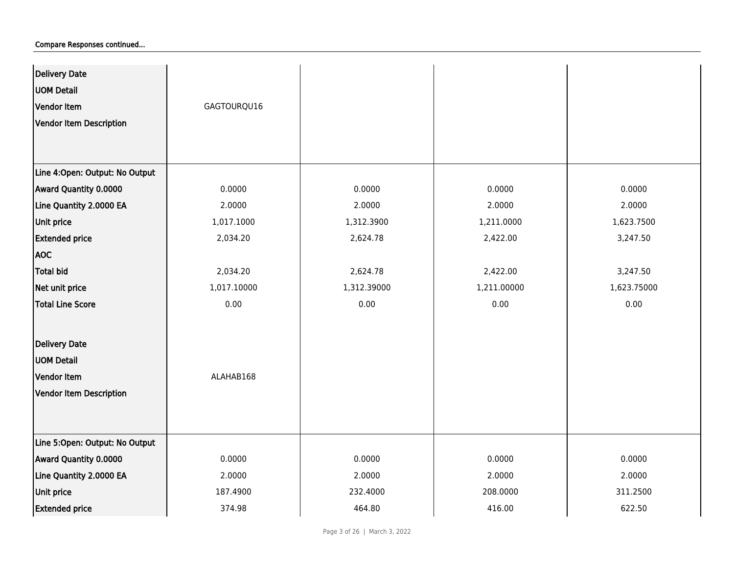| Delivery Date<br><b>UOM Detail</b><br>Vendor Item<br>Vendor Item Description | GAGTOURQU16 |             |             |             |
|------------------------------------------------------------------------------|-------------|-------------|-------------|-------------|
| Line 4:Open: Output: No Output                                               |             |             |             |             |
| Award Quantity 0.0000                                                        | 0.0000      | 0.0000      | 0.0000      | 0.0000      |
| Line Quantity 2.0000 EA                                                      | 2.0000      | 2.0000      | 2.0000      | 2.0000      |
| <b>Unit price</b>                                                            | 1,017.1000  | 1,312.3900  | 1,211.0000  | 1,623.7500  |
| <b>Extended price</b>                                                        | 2,034.20    | 2,624.78    | 2,422.00    | 3,247.50    |
| <b>AOC</b>                                                                   |             |             |             |             |
| <b>Total bid</b>                                                             | 2,034.20    | 2,624.78    | 2,422.00    | 3,247.50    |
| Net unit price                                                               | 1,017.10000 | 1,312.39000 | 1,211.00000 | 1,623.75000 |
| <b>Total Line Score</b>                                                      | 0.00        | 0.00        | 0.00        | 0.00        |
| Delivery Date                                                                |             |             |             |             |
| <b>UOM Detail</b>                                                            |             |             |             |             |
| Vendor Item                                                                  | ALAHAB168   |             |             |             |
| Vendor Item Description                                                      |             |             |             |             |
|                                                                              |             |             |             |             |
| Line 5:Open: Output: No Output                                               |             |             |             |             |
| Award Quantity 0.0000                                                        | 0.0000      | 0.0000      | 0.0000      | 0.0000      |
| Line Quantity 2.0000 EA                                                      | 2.0000      | 2.0000      | 2.0000      | 2.0000      |
| <b>Unit price</b>                                                            | 187.4900    | 232.4000    | 208.0000    | 311.2500    |
| <b>Extended price</b>                                                        | 374.98      | 464.80      | 416.00      | 622.50      |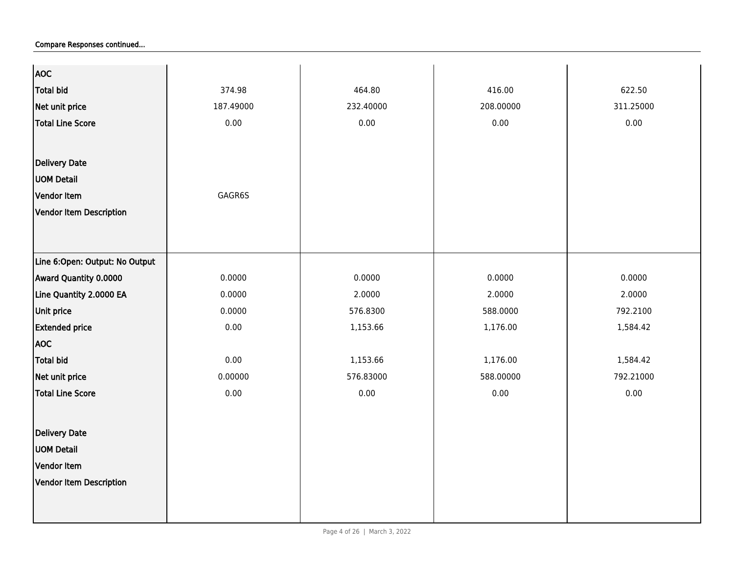| <b>AOC</b>                     |           |           |           |           |
|--------------------------------|-----------|-----------|-----------|-----------|
| <b>Total bid</b>               | 374.98    | 464.80    | 416.00    | 622.50    |
| Net unit price                 | 187.49000 | 232.40000 | 208.00000 | 311.25000 |
| Total Line Score               | 0.00      | 0.00      | 0.00      | 0.00      |
|                                |           |           |           |           |
| <b>Delivery Date</b>           |           |           |           |           |
| <b>UOM Detail</b>              |           |           |           |           |
| Vendor Item                    | GAGR6S    |           |           |           |
| Vendor Item Description        |           |           |           |           |
|                                |           |           |           |           |
|                                |           |           |           |           |
| Line 6:Open: Output: No Output |           |           |           |           |
| Award Quantity 0.0000          | 0.0000    | 0.0000    | 0.0000    | 0.0000    |
| Line Quantity 2.0000 EA        | 0.0000    | 2.0000    | 2.0000    | 2.0000    |
| Unit price                     | 0.0000    | 576.8300  | 588.0000  | 792.2100  |
| <b>Extended price</b>          | 0.00      | 1,153.66  | 1,176.00  | 1,584.42  |
| <b>AOC</b>                     |           |           |           |           |
| Total bid                      | 0.00      | 1,153.66  | 1,176.00  | 1,584.42  |
| Net unit price                 | 0.00000   | 576.83000 | 588.00000 | 792.21000 |
| <b>Total Line Score</b>        | 0.00      | 0.00      | 0.00      | 0.00      |
|                                |           |           |           |           |
| <b>Delivery Date</b>           |           |           |           |           |
| <b>UOM Detail</b>              |           |           |           |           |
| Vendor Item                    |           |           |           |           |
| Vendor Item Description        |           |           |           |           |
|                                |           |           |           |           |
|                                |           |           |           |           |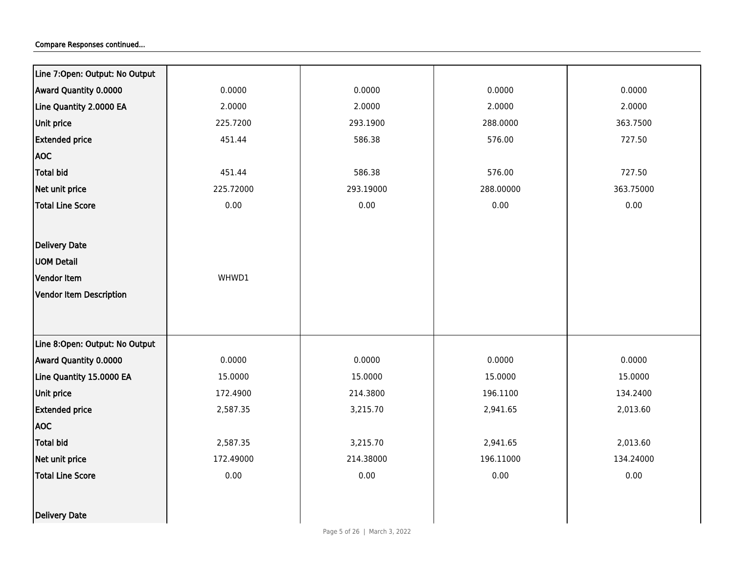| Line 7:Open: Output: No Output |           |           |           |           |
|--------------------------------|-----------|-----------|-----------|-----------|
| Award Quantity 0.0000          | 0.0000    | 0.0000    | 0.0000    | 0.0000    |
| Line Quantity 2.0000 EA        | 2.0000    | 2.0000    | 2.0000    | 2.0000    |
| Unit price                     | 225.7200  | 293.1900  | 288.0000  | 363.7500  |
| <b>Extended price</b>          | 451.44    | 586.38    | 576.00    | 727.50    |
| <b>AOC</b>                     |           |           |           |           |
| <b>Total bid</b>               | 451.44    | 586.38    | 576.00    | 727.50    |
| Net unit price                 | 225.72000 | 293.19000 | 288.00000 | 363.75000 |
| <b>Total Line Score</b>        | 0.00      | 0.00      | 0.00      | 0.00      |
|                                |           |           |           |           |
| <b>Delivery Date</b>           |           |           |           |           |
| <b>UOM Detail</b>              |           |           |           |           |
| Vendor Item                    | WHWD1     |           |           |           |
| <b>Vendor Item Description</b> |           |           |           |           |
|                                |           |           |           |           |
|                                |           |           |           |           |
| Line 8:Open: Output: No Output |           |           |           |           |
| Award Quantity 0.0000          | 0.0000    | 0.0000    | 0.0000    | 0.0000    |
| Line Quantity 15.0000 EA       | 15.0000   | 15.0000   | 15.0000   | 15.0000   |
| Unit price                     | 172.4900  | 214.3800  | 196.1100  | 134.2400  |
| <b>Extended price</b>          | 2,587.35  | 3,215.70  | 2,941.65  | 2,013.60  |
| AOC                            |           |           |           |           |
| <b>Total bid</b>               | 2,587.35  | 3,215.70  | 2,941.65  | 2,013.60  |
| Net unit price                 | 172.49000 | 214.38000 | 196.11000 | 134.24000 |
| <b>Total Line Score</b>        | 0.00      | 0.00      | 0.00      | 0.00      |
|                                |           |           |           |           |
| Delivery Date                  |           |           |           |           |
|                                |           |           |           |           |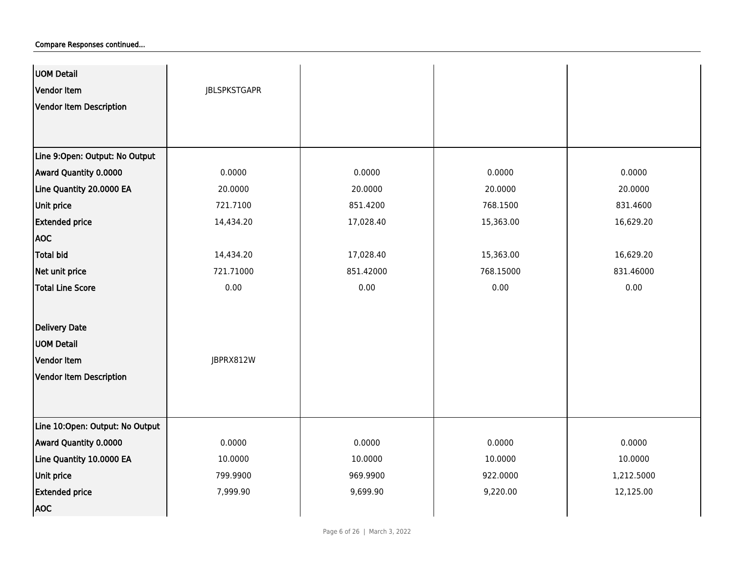| <b>UOM Detail</b><br>Vendor Item | <b>JBLSPKSTGAPR</b> |           |           |            |
|----------------------------------|---------------------|-----------|-----------|------------|
| Vendor Item Description          |                     |           |           |            |
| Line 9:Open: Output: No Output   |                     |           |           |            |
| Award Quantity 0.0000            | 0.0000              | 0.0000    | 0.0000    | 0.0000     |
| Line Quantity 20.0000 EA         | 20.0000             | 20.0000   | 20.0000   | 20.0000    |
| Unit price                       | 721.7100            | 851.4200  | 768.1500  | 831.4600   |
| <b>Extended price</b>            | 14,434.20           | 17,028.40 | 15,363.00 | 16,629.20  |
| <b>AOC</b>                       |                     |           |           |            |
| <b>Total bid</b>                 | 14,434.20           | 17,028.40 | 15,363.00 | 16,629.20  |
| Net unit price                   | 721.71000           | 851.42000 | 768.15000 | 831.46000  |
| <b>Total Line Score</b>          | 0.00                | 0.00      | 0.00      | 0.00       |
| Delivery Date                    |                     |           |           |            |
| <b>UOM Detail</b>                |                     |           |           |            |
| Vendor Item                      | JBPRX812W           |           |           |            |
| Vendor Item Description          |                     |           |           |            |
|                                  |                     |           |           |            |
| Line 10:Open: Output: No Output  |                     |           |           |            |
| Award Quantity 0.0000            | 0.0000              | 0.0000    | 0.0000    | 0.0000     |
| Line Quantity 10.0000 EA         | 10.0000             | 10.0000   | 10.0000   | 10.0000    |
| <b>Unit price</b>                | 799.9900            | 969.9900  | 922.0000  | 1,212.5000 |
| <b>Extended price</b>            | 7,999.90            | 9,699.90  | 9,220.00  | 12,125.00  |
| <b>AOC</b>                       |                     |           |           |            |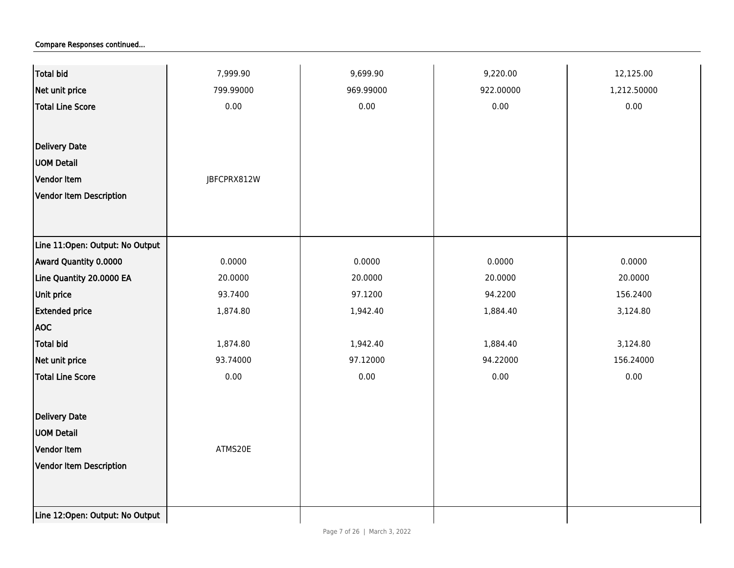| <b>Total bid</b>                | 7,999.90    | 9,699.90  | 9,220.00  | 12,125.00   |
|---------------------------------|-------------|-----------|-----------|-------------|
| Net unit price                  | 799.99000   | 969.99000 | 922.00000 | 1,212.50000 |
| <b>Total Line Score</b>         | 0.00        | 0.00      | 0.00      | 0.00        |
|                                 |             |           |           |             |
| Delivery Date                   |             |           |           |             |
| <b>UOM Detail</b>               |             |           |           |             |
| Vendor Item                     | JBFCPRX812W |           |           |             |
| <b>Vendor Item Description</b>  |             |           |           |             |
|                                 |             |           |           |             |
|                                 |             |           |           |             |
| Line 11:Open: Output: No Output |             |           |           |             |
| Award Quantity 0.0000           | 0.0000      | 0.0000    | 0.0000    | 0.0000      |
| Line Quantity 20.0000 EA        | 20.0000     | 20.0000   | 20.0000   | 20.0000     |
| Unit price                      | 93.7400     | 97.1200   | 94.2200   | 156.2400    |
| <b>Extended price</b>           | 1,874.80    | 1,942.40  | 1,884.40  | 3,124.80    |
| <b>AOC</b>                      |             |           |           |             |
| <b>Total bid</b>                | 1,874.80    | 1,942.40  | 1,884.40  | 3,124.80    |
| Net unit price                  | 93.74000    | 97.12000  | 94.22000  | 156.24000   |
| <b>Total Line Score</b>         | 0.00        | 0.00      | 0.00      | 0.00        |
|                                 |             |           |           |             |
| Delivery Date                   |             |           |           |             |
| <b>UOM Detail</b>               |             |           |           |             |
| Vendor Item                     | ATMS20E     |           |           |             |
| Vendor Item Description         |             |           |           |             |
|                                 |             |           |           |             |
|                                 |             |           |           |             |
| Line 12:Open: Output: No Output |             |           |           |             |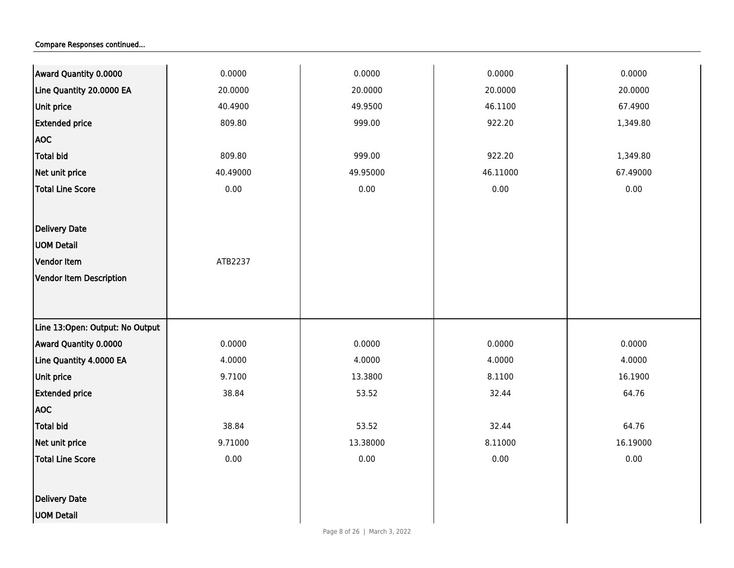| Award Quantity 0.0000           | 0.0000   | 0.0000   | 0.0000   | 0.0000   |
|---------------------------------|----------|----------|----------|----------|
| Line Quantity 20.0000 EA        | 20.0000  | 20.0000  | 20.0000  | 20.0000  |
| Unit price                      | 40.4900  | 49.9500  | 46.1100  | 67.4900  |
| <b>Extended price</b>           | 809.80   | 999.00   | 922.20   | 1,349.80 |
| <b>AOC</b>                      |          |          |          |          |
| <b>Total bid</b>                | 809.80   | 999.00   | 922.20   | 1,349.80 |
| Net unit price                  | 40.49000 | 49.95000 | 46.11000 | 67.49000 |
| <b>Total Line Score</b>         | 0.00     | 0.00     | 0.00     | 0.00     |
|                                 |          |          |          |          |
| <b>Delivery Date</b>            |          |          |          |          |
| <b>UOM Detail</b>               |          |          |          |          |
| Vendor Item                     | ATB2237  |          |          |          |
| <b>Vendor Item Description</b>  |          |          |          |          |
|                                 |          |          |          |          |
|                                 |          |          |          |          |
| Line 13:Open: Output: No Output |          |          |          |          |
| Award Quantity 0.0000           | 0.0000   | 0.0000   | 0.0000   | 0.0000   |
| Line Quantity 4.0000 EA         | 4.0000   | 4.0000   | 4.0000   | 4.0000   |
| Unit price                      | 9.7100   | 13.3800  | 8.1100   | 16.1900  |
| <b>Extended price</b>           | 38.84    | 53.52    | 32.44    | 64.76    |
| <b>AOC</b>                      |          |          |          |          |
| <b>Total bid</b>                | 38.84    | 53.52    | 32.44    | 64.76    |
| Net unit price                  | 9.71000  | 13.38000 | 8.11000  | 16.19000 |
| <b>Total Line Score</b>         | 0.00     | 0.00     | 0.00     | 0.00     |
|                                 |          |          |          |          |
| <b>Delivery Date</b>            |          |          |          |          |
| <b>UOM Detail</b>               |          |          |          |          |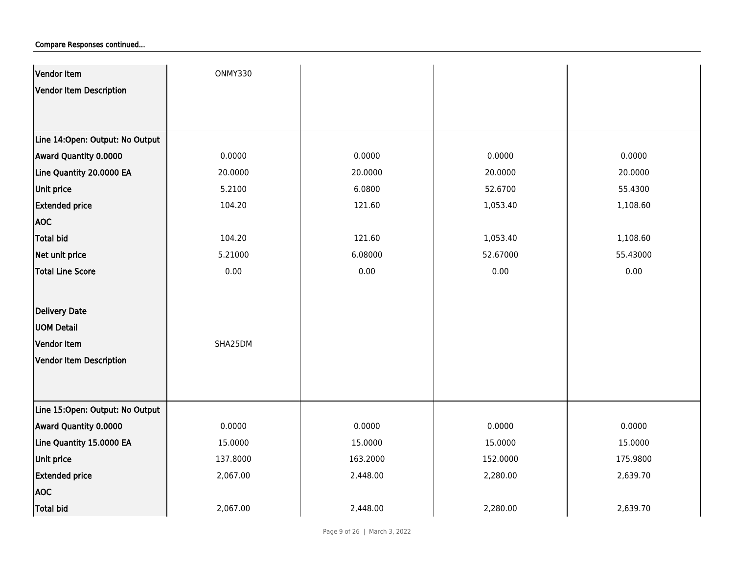| Vendor Item                      | ONMY330  |          |          |          |
|----------------------------------|----------|----------|----------|----------|
| Vendor Item Description          |          |          |          |          |
|                                  |          |          |          |          |
|                                  |          |          |          |          |
| Line 14: Open: Output: No Output |          |          |          |          |
| Award Quantity 0.0000            | 0.0000   | 0.0000   | 0.0000   | 0.0000   |
| Line Quantity 20.0000 EA         | 20.0000  | 20.0000  | 20.0000  | 20.0000  |
| Unit price                       | 5.2100   | 6.0800   | 52.6700  | 55.4300  |
| <b>Extended price</b>            | 104.20   | 121.60   | 1,053.40 | 1,108.60 |
| <b>AOC</b>                       |          |          |          |          |
| Total bid                        | 104.20   | 121.60   | 1,053.40 | 1,108.60 |
| Net unit price                   | 5.21000  | 6.08000  | 52.67000 | 55.43000 |
| <b>Total Line Score</b>          | 0.00     | 0.00     | 0.00     | 0.00     |
|                                  |          |          |          |          |
| Delivery Date                    |          |          |          |          |
| <b>UOM Detail</b>                |          |          |          |          |
| Vendor Item                      | SHA25DM  |          |          |          |
| Vendor Item Description          |          |          |          |          |
|                                  |          |          |          |          |
|                                  |          |          |          |          |
| Line 15:Open: Output: No Output  |          |          |          |          |
| Award Quantity 0.0000            | 0.0000   | 0.0000   | 0.0000   | 0.0000   |
| Line Quantity 15.0000 EA         | 15.0000  | 15.0000  | 15.0000  | 15.0000  |
| Unit price                       | 137.8000 | 163.2000 | 152.0000 | 175.9800 |
| <b>Extended price</b>            | 2,067.00 | 2,448.00 | 2,280.00 | 2,639.70 |
| <b>AOC</b>                       |          |          |          |          |
| <b>Total bid</b>                 | 2,067.00 | 2,448.00 | 2,280.00 | 2,639.70 |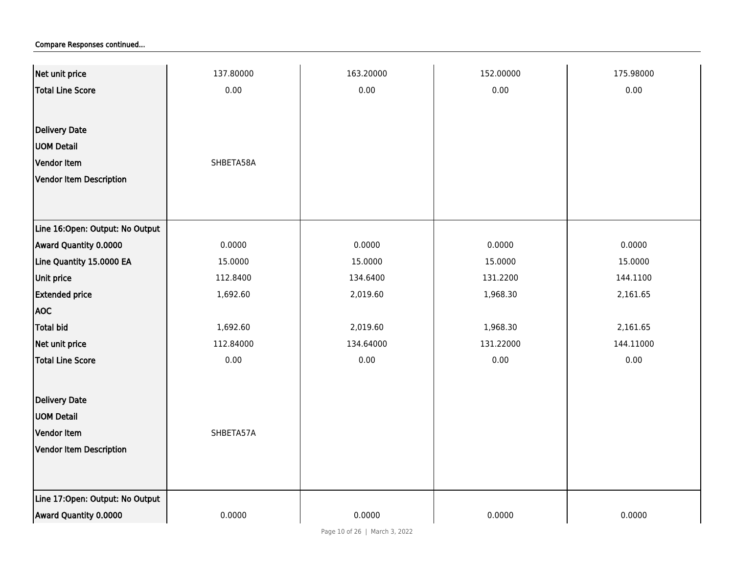| Net unit price                  | 137.80000 | 163.20000 | 152.00000 | 175.98000 |
|---------------------------------|-----------|-----------|-----------|-----------|
| <b>Total Line Score</b>         | 0.00      | 0.00      | 0.00      | 0.00      |
|                                 |           |           |           |           |
| <b>Delivery Date</b>            |           |           |           |           |
| <b>UOM Detail</b>               |           |           |           |           |
| Vendor Item                     | SHBETA58A |           |           |           |
| Vendor Item Description         |           |           |           |           |
|                                 |           |           |           |           |
|                                 |           |           |           |           |
| Line 16:Open: Output: No Output |           |           |           |           |
| Award Quantity 0.0000           | 0.0000    | 0.0000    | 0.0000    | 0.0000    |
| Line Quantity 15.0000 EA        | 15.0000   | 15.0000   | 15.0000   | 15.0000   |
| Unit price                      | 112.8400  | 134.6400  | 131.2200  | 144.1100  |
| <b>Extended price</b>           | 1,692.60  | 2,019.60  | 1,968.30  | 2,161.65  |
| <b>AOC</b>                      |           |           |           |           |
| <b>Total bid</b>                | 1,692.60  | 2,019.60  | 1,968.30  | 2,161.65  |
| Net unit price                  | 112.84000 | 134.64000 | 131.22000 | 144.11000 |
| <b>Total Line Score</b>         | 0.00      | 0.00      | 0.00      | 0.00      |
|                                 |           |           |           |           |
| Delivery Date                   |           |           |           |           |
| <b>UOM Detail</b>               |           |           |           |           |
| Vendor Item                     | SHBETA57A |           |           |           |
| Vendor Item Description         |           |           |           |           |
|                                 |           |           |           |           |
| Line 17:Open: Output: No Output |           |           |           |           |
| Award Quantity 0.0000           | 0.0000    | 0.0000    | 0.0000    | 0.0000    |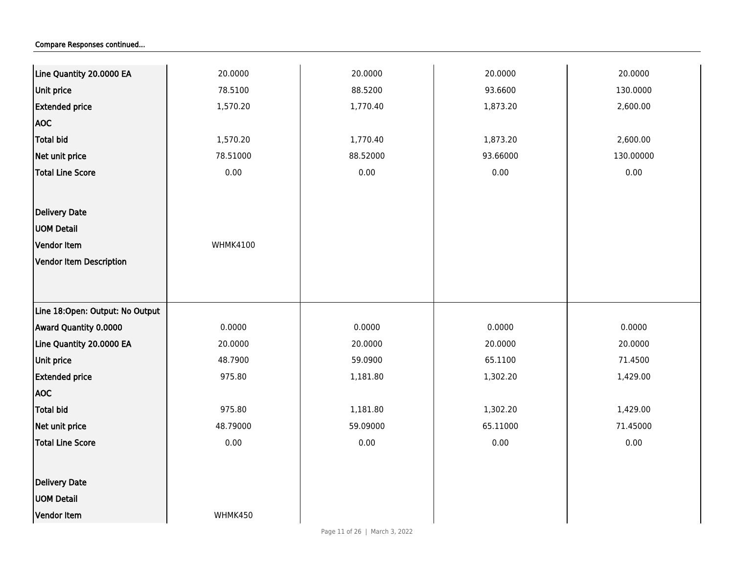| Line Quantity 20.0000 EA        | 20.0000         | 20.0000  | 20.0000  | 20.0000   |
|---------------------------------|-----------------|----------|----------|-----------|
| <b>Unit price</b>               | 78.5100         | 88.5200  | 93.6600  | 130.0000  |
| <b>Extended price</b>           | 1,570.20        | 1,770.40 | 1,873.20 | 2,600.00  |
| <b>AOC</b>                      |                 |          |          |           |
| Total bid                       | 1,570.20        | 1,770.40 | 1,873.20 | 2,600.00  |
| Net unit price                  | 78.51000        | 88.52000 | 93.66000 | 130.00000 |
| Total Line Score                | 0.00            | 0.00     | 0.00     | 0.00      |
|                                 |                 |          |          |           |
| Delivery Date                   |                 |          |          |           |
| <b>UOM Detail</b>               |                 |          |          |           |
| Vendor Item                     | <b>WHMK4100</b> |          |          |           |
| Vendor Item Description         |                 |          |          |           |
|                                 |                 |          |          |           |
|                                 |                 |          |          |           |
| Line 18:Open: Output: No Output |                 |          |          |           |
| Award Quantity 0.0000           | 0.0000          | 0.0000   | 0.0000   | 0.0000    |
| Line Quantity 20.0000 EA        | 20.0000         | 20.0000  | 20.0000  | 20.0000   |
| <b>Unit price</b>               | 48.7900         | 59.0900  | 65.1100  | 71.4500   |
| <b>Extended price</b>           | 975.80          | 1,181.80 | 1,302.20 | 1,429.00  |
| <b>AOC</b>                      |                 |          |          |           |
| Total bid                       | 975.80          | 1,181.80 | 1,302.20 | 1,429.00  |
| Net unit price                  | 48.79000        | 59.09000 | 65.11000 | 71.45000  |
| <b>Total Line Score</b>         | 0.00            | 0.00     | 0.00     | 0.00      |
|                                 |                 |          |          |           |
| Delivery Date                   |                 |          |          |           |
| <b>UOM Detail</b>               |                 |          |          |           |
| Vendor Item                     | WHMK450         |          |          |           |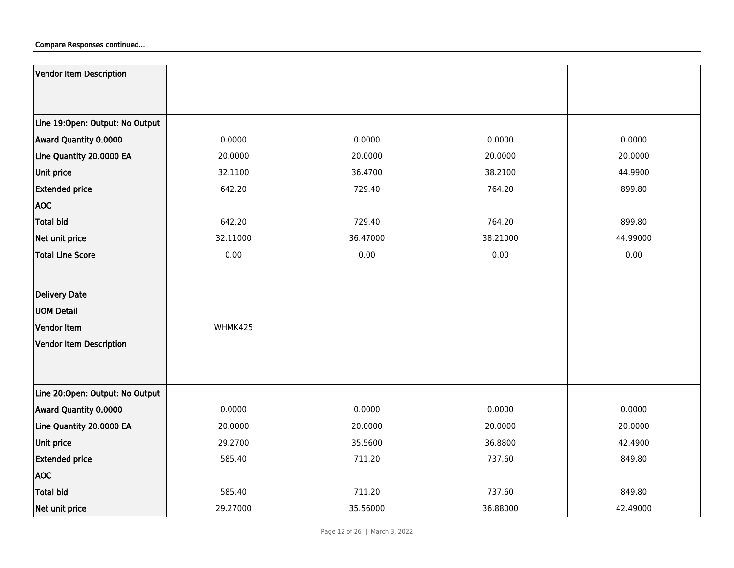| Vendor Item Description         |          |          |          |          |
|---------------------------------|----------|----------|----------|----------|
|                                 |          |          |          |          |
| Line 19:Open: Output: No Output |          |          |          |          |
| Award Quantity 0.0000           | 0.0000   | 0.0000   | 0.0000   | 0.0000   |
| Line Quantity 20.0000 EA        | 20.0000  | 20.0000  | 20.0000  | 20.0000  |
| <b>Unit price</b>               | 32.1100  | 36.4700  | 38.2100  | 44.9900  |
| <b>Extended price</b>           | 642.20   | 729.40   | 764.20   | 899.80   |
| <b>AOC</b>                      |          |          |          |          |
| <b>Total bid</b>                | 642.20   | 729.40   | 764.20   | 899.80   |
| Net unit price                  | 32.11000 | 36.47000 | 38.21000 | 44.99000 |
| Total Line Score                | 0.00     | 0.00     | 0.00     | 0.00     |
|                                 |          |          |          |          |
|                                 |          |          |          |          |
| Delivery Date                   |          |          |          |          |
| <b>UOM Detail</b>               |          |          |          |          |
| Vendor Item                     | WHMK425  |          |          |          |
| Vendor Item Description         |          |          |          |          |
|                                 |          |          |          |          |
|                                 |          |          |          |          |
| Line 20:Open: Output: No Output |          |          |          |          |
| Award Quantity 0.0000           | 0.0000   | 0.0000   | 0.0000   | 0.0000   |
| Line Quantity 20.0000 EA        | 20.0000  | 20.0000  | 20.0000  | 20.0000  |
| <b>Unit price</b>               | 29.2700  | 35.5600  | 36.8800  | 42.4900  |
| <b>Extended price</b>           | 585.40   | 711.20   | 737.60   | 849.80   |
| <b>AOC</b>                      |          |          |          |          |
| Total bid                       | 585.40   | 711.20   | 737.60   | 849.80   |
| Net unit price                  | 29.27000 | 35.56000 | 36.88000 | 42.49000 |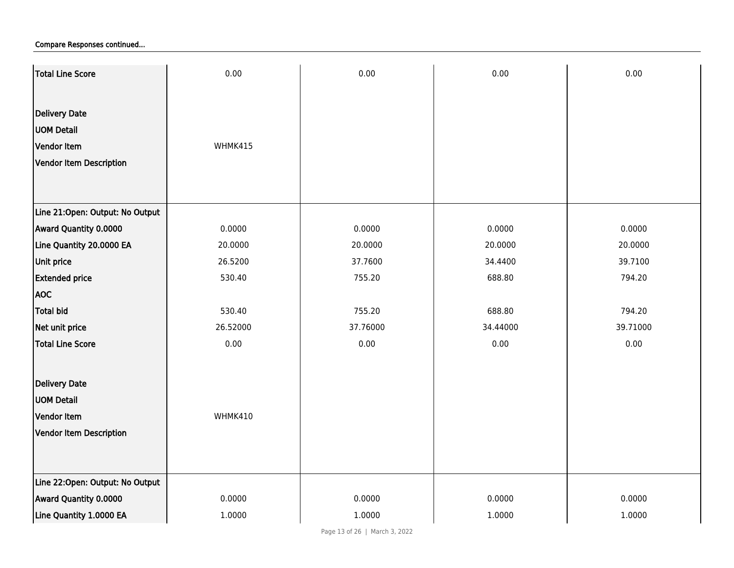| Total Line Score                | 0.00     | 0.00     | 0.00     | 0.00     |
|---------------------------------|----------|----------|----------|----------|
|                                 |          |          |          |          |
| <b>Delivery Date</b>            |          |          |          |          |
| <b>UOM Detail</b>               |          |          |          |          |
| Vendor Item                     | WHMK415  |          |          |          |
| Vendor Item Description         |          |          |          |          |
|                                 |          |          |          |          |
| Line 21:Open: Output: No Output |          |          |          |          |
| Award Quantity 0.0000           | 0.0000   | 0.0000   | 0.0000   | 0.0000   |
| Line Quantity 20.0000 EA        | 20.0000  | 20.0000  | 20.0000  | 20.0000  |
| Unit price                      | 26.5200  | 37.7600  | 34.4400  | 39.7100  |
| <b>Extended price</b>           | 530.40   | 755.20   | 688.80   | 794.20   |
| <b>AOC</b>                      |          |          |          |          |
| <b>Total bid</b>                | 530.40   | 755.20   | 688.80   | 794.20   |
| Net unit price                  | 26.52000 | 37.76000 | 34.44000 | 39.71000 |
| <b>Total Line Score</b>         | 0.00     | 0.00     | 0.00     | 0.00     |
|                                 |          |          |          |          |
| <b>Delivery Date</b>            |          |          |          |          |
| <b>UOM Detail</b>               |          |          |          |          |
| Vendor Item                     | WHMK410  |          |          |          |
| Vendor Item Description         |          |          |          |          |
|                                 |          |          |          |          |
| Line 22:Open: Output: No Output |          |          |          |          |
| Award Quantity 0.0000           | 0.0000   | 0.0000   | 0.0000   | 0.0000   |
| Line Quantity 1.0000 EA         | 1.0000   | 1.0000   | 1.0000   | 1.0000   |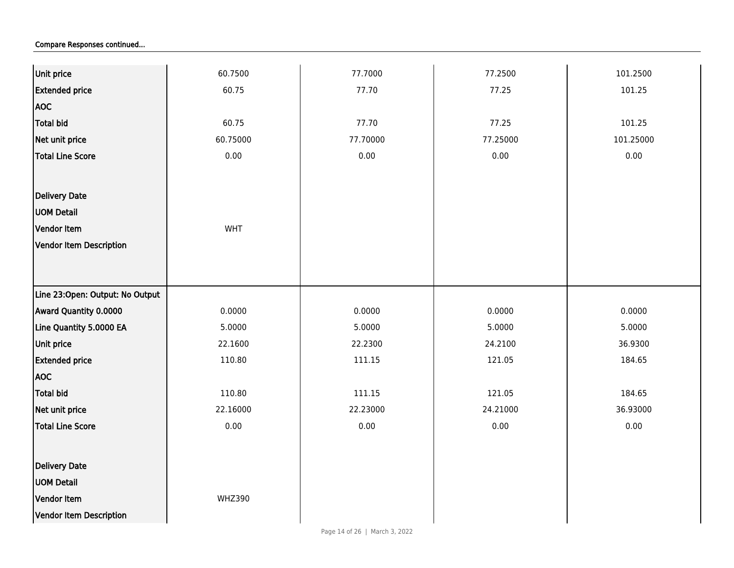| Unit price                      | 60.7500       | 77.7000  | 77.2500  | 101.2500  |
|---------------------------------|---------------|----------|----------|-----------|
| <b>Extended price</b>           | 60.75         | 77.70    | 77.25    | 101.25    |
| <b>AOC</b>                      |               |          |          |           |
| <b>Total bid</b>                | 60.75         | 77.70    | 77.25    | 101.25    |
| Net unit price                  | 60.75000      | 77.70000 | 77.25000 | 101.25000 |
| <b>Total Line Score</b>         | 0.00          | 0.00     | 0.00     | 0.00      |
|                                 |               |          |          |           |
| Delivery Date                   |               |          |          |           |
| <b>UOM Detail</b>               |               |          |          |           |
| Vendor Item                     | WHT           |          |          |           |
| <b>Vendor Item Description</b>  |               |          |          |           |
|                                 |               |          |          |           |
|                                 |               |          |          |           |
| Line 23:Open: Output: No Output |               |          |          |           |
| Award Quantity 0.0000           | 0.0000        | 0.0000   | 0.0000   | 0.0000    |
| Line Quantity 5.0000 EA         | 5.0000        | 5.0000   | 5.0000   | 5.0000    |
| Unit price                      | 22.1600       | 22.2300  | 24.2100  | 36.9300   |
| <b>Extended price</b>           | 110.80        | 111.15   | 121.05   | 184.65    |
| <b>AOC</b>                      |               |          |          |           |
| <b>Total bid</b>                | 110.80        | 111.15   | 121.05   | 184.65    |
| Net unit price                  | 22.16000      | 22.23000 | 24.21000 | 36.93000  |
| <b>Total Line Score</b>         | 0.00          | 0.00     | $0.00\,$ | 0.00      |
|                                 |               |          |          |           |
| Delivery Date                   |               |          |          |           |
| <b>UOM Detail</b>               |               |          |          |           |
| Vendor Item                     | <b>WHZ390</b> |          |          |           |
| <b>Vendor Item Description</b>  |               |          |          |           |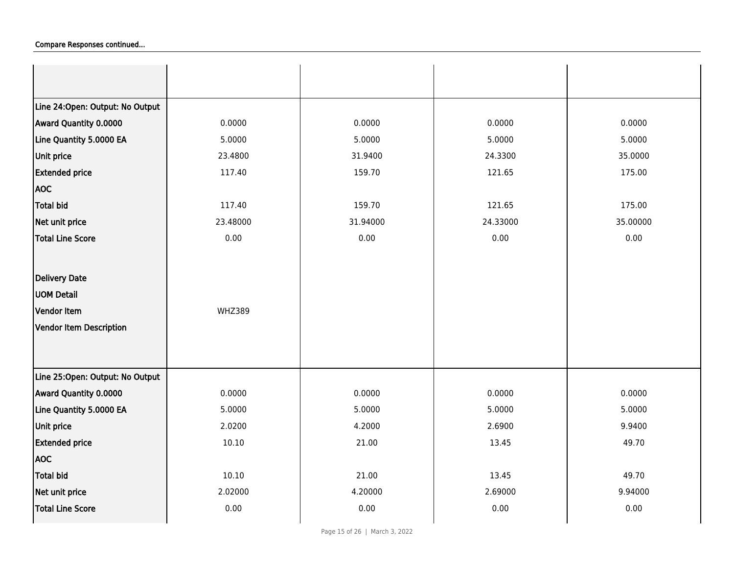| Line 24:Open: Output: No Output |               |          |          |          |
|---------------------------------|---------------|----------|----------|----------|
| Award Quantity 0.0000           | 0.0000        | 0.0000   | 0.0000   | 0.0000   |
| Line Quantity 5.0000 EA         | 5.0000        | 5.0000   | 5.0000   | 5.0000   |
| Unit price                      | 23.4800       | 31.9400  | 24.3300  | 35.0000  |
| <b>Extended price</b>           | 117.40        | 159.70   | 121.65   | 175.00   |
| <b>AOC</b>                      |               |          |          |          |
| Total bid                       | 117.40        | 159.70   | 121.65   | 175.00   |
| Net unit price                  | 23.48000      | 31.94000 | 24.33000 | 35.00000 |
| Total Line Score                | 0.00          | 0.00     | 0.00     | 0.00     |
|                                 |               |          |          |          |
| <b>Delivery Date</b>            |               |          |          |          |
| <b>UOM Detail</b>               |               |          |          |          |
| <b>Vendor Item</b>              | <b>WHZ389</b> |          |          |          |
| Vendor Item Description         |               |          |          |          |
|                                 |               |          |          |          |
|                                 |               |          |          |          |
| Line 25:Open: Output: No Output |               |          |          |          |
| Award Quantity 0.0000           | 0.0000        | 0.0000   | 0.0000   | 0.0000   |
| Line Quantity 5.0000 EA         | 5.0000        | 5.0000   | 5.0000   | 5.0000   |
| Unit price                      | 2.0200        | 4.2000   | 2.6900   | 9.9400   |
| <b>Extended price</b>           | 10.10         | 21.00    | 13.45    | 49.70    |
| <b>AOC</b>                      |               |          |          |          |
| Total bid                       | 10.10         | 21.00    | 13.45    | 49.70    |
| Net unit price                  | 2.02000       | 4.20000  | 2.69000  | 9.94000  |
| <b>Total Line Score</b>         | 0.00          | 0.00     | 0.00     | 0.00     |
|                                 |               |          |          |          |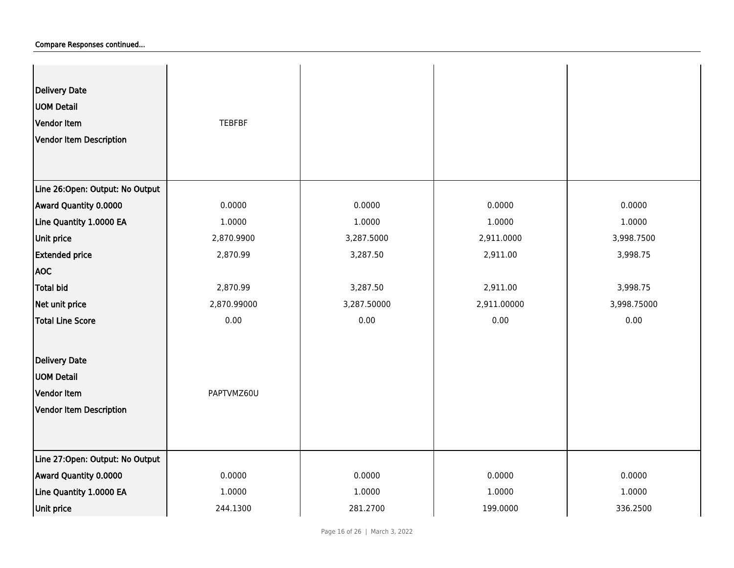| <b>Delivery Date</b><br><b>UOM Detail</b><br>Vendor Item<br>Vendor Item Description | <b>TEBFBF</b> |             |             |             |
|-------------------------------------------------------------------------------------|---------------|-------------|-------------|-------------|
| Line 26:Open: Output: No Output                                                     |               |             |             |             |
| Award Quantity 0.0000                                                               | 0.0000        | 0.0000      | 0.0000      | 0.0000      |
| Line Quantity 1.0000 EA                                                             | 1.0000        | 1.0000      | 1.0000      | 1.0000      |
| Unit price                                                                          | 2,870.9900    | 3,287.5000  | 2,911.0000  | 3,998.7500  |
| <b>Extended price</b>                                                               | 2,870.99      | 3,287.50    | 2,911.00    | 3,998.75    |
| <b>AOC</b>                                                                          |               |             |             |             |
| Total bid                                                                           | 2,870.99      | 3,287.50    | 2,911.00    | 3,998.75    |
| Net unit price                                                                      | 2,870.99000   | 3,287.50000 | 2,911.00000 | 3,998.75000 |
| Total Line Score                                                                    | 0.00          | 0.00        | 0.00        | 0.00        |
| <b>Delivery Date</b>                                                                |               |             |             |             |
| <b>UOM Detail</b>                                                                   |               |             |             |             |
| Vendor Item                                                                         | PAPTVMZ60U    |             |             |             |
| Vendor Item Description                                                             |               |             |             |             |
| Line 27:Open: Output: No Output                                                     |               |             |             |             |
| Award Quantity 0.0000                                                               | 0.0000        | 0.0000      | 0.0000      | 0.0000      |
| Line Quantity 1.0000 EA                                                             | 1.0000        | 1.0000      | 1.0000      | 1.0000      |
| Unit price                                                                          | 244.1300      | 281.2700    | 199.0000    | 336.2500    |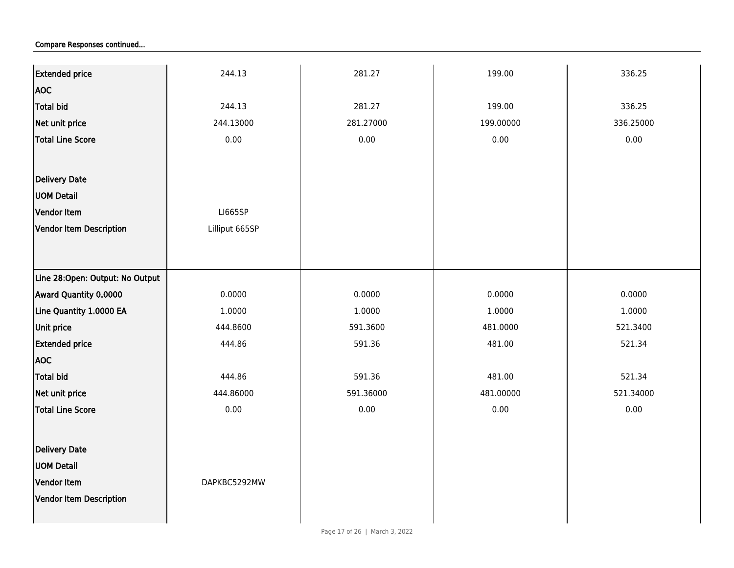| <b>Extended price</b>           | 244.13         | 281.27    | 199.00    | 336.25    |
|---------------------------------|----------------|-----------|-----------|-----------|
| <b>AOC</b>                      |                |           |           |           |
| Total bid                       | 244.13         | 281.27    | 199.00    | 336.25    |
| Net unit price                  | 244.13000      | 281.27000 | 199.00000 | 336.25000 |
| Total Line Score                | 0.00           | 0.00      | 0.00      | 0.00      |
|                                 |                |           |           |           |
| <b>Delivery Date</b>            |                |           |           |           |
| <b>UOM Detail</b>               |                |           |           |           |
| Vendor Item                     |                |           |           |           |
|                                 | <b>LI665SP</b> |           |           |           |
| <b>Vendor Item Description</b>  | Lilliput 665SP |           |           |           |
|                                 |                |           |           |           |
| Line 28:Open: Output: No Output |                |           |           |           |
| Award Quantity 0.0000           | 0.0000         | 0.0000    | 0.0000    | 0.0000    |
| Line Quantity 1.0000 EA         | 1.0000         | 1.0000    | 1.0000    | 1.0000    |
| Unit price                      | 444.8600       | 591.3600  | 481.0000  | 521.3400  |
| <b>Extended price</b>           | 444.86         | 591.36    | 481.00    | 521.34    |
| <b>AOC</b>                      |                |           |           |           |
| Total bid                       | 444.86         | 591.36    | 481.00    | 521.34    |
| Net unit price                  | 444.86000      | 591.36000 | 481.00000 | 521.34000 |
| <b>Total Line Score</b>         | 0.00           | 0.00      | 0.00      | 0.00      |
|                                 |                |           |           |           |
| <b>Delivery Date</b>            |                |           |           |           |
| <b>UOM Detail</b>               |                |           |           |           |
| Vendor Item                     | DAPKBC5292MW   |           |           |           |
| Vendor Item Description         |                |           |           |           |
|                                 |                |           |           |           |
|                                 |                |           |           |           |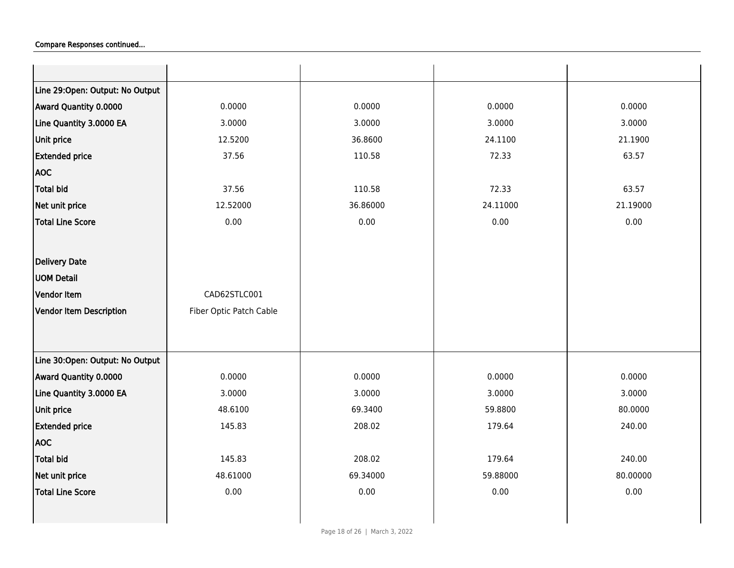| Line 29:Open: Output: No Output<br>Award Quantity 0.0000<br>0.0000<br>0.0000<br>0.0000<br>0.0000<br>Line Quantity 3.0000 EA<br>3.0000<br>3.0000<br>3.0000<br>3.0000<br>Unit price<br>12.5200<br>36.8600<br>21.1900<br>24.1100<br>72.33<br><b>Extended price</b><br>37.56<br>110.58<br>63.57<br><b>AOC</b><br><b>Total bid</b><br>37.56<br>110.58<br>72.33<br>63.57<br>Net unit price<br>12.52000<br>36.86000<br>24.11000<br>21.19000<br><b>Total Line Score</b><br>0.00<br>0.00<br>0.00<br>0.00<br>Delivery Date<br><b>UOM Detail</b><br>Vendor Item<br>CAD62STLC001<br>Vendor Item Description<br>Fiber Optic Patch Cable |
|----------------------------------------------------------------------------------------------------------------------------------------------------------------------------------------------------------------------------------------------------------------------------------------------------------------------------------------------------------------------------------------------------------------------------------------------------------------------------------------------------------------------------------------------------------------------------------------------------------------------------|
|                                                                                                                                                                                                                                                                                                                                                                                                                                                                                                                                                                                                                            |
|                                                                                                                                                                                                                                                                                                                                                                                                                                                                                                                                                                                                                            |
|                                                                                                                                                                                                                                                                                                                                                                                                                                                                                                                                                                                                                            |
|                                                                                                                                                                                                                                                                                                                                                                                                                                                                                                                                                                                                                            |
|                                                                                                                                                                                                                                                                                                                                                                                                                                                                                                                                                                                                                            |
|                                                                                                                                                                                                                                                                                                                                                                                                                                                                                                                                                                                                                            |
|                                                                                                                                                                                                                                                                                                                                                                                                                                                                                                                                                                                                                            |
|                                                                                                                                                                                                                                                                                                                                                                                                                                                                                                                                                                                                                            |
|                                                                                                                                                                                                                                                                                                                                                                                                                                                                                                                                                                                                                            |
|                                                                                                                                                                                                                                                                                                                                                                                                                                                                                                                                                                                                                            |
|                                                                                                                                                                                                                                                                                                                                                                                                                                                                                                                                                                                                                            |
|                                                                                                                                                                                                                                                                                                                                                                                                                                                                                                                                                                                                                            |
|                                                                                                                                                                                                                                                                                                                                                                                                                                                                                                                                                                                                                            |
|                                                                                                                                                                                                                                                                                                                                                                                                                                                                                                                                                                                                                            |
|                                                                                                                                                                                                                                                                                                                                                                                                                                                                                                                                                                                                                            |
|                                                                                                                                                                                                                                                                                                                                                                                                                                                                                                                                                                                                                            |
| Line 30:Open: Output: No Output                                                                                                                                                                                                                                                                                                                                                                                                                                                                                                                                                                                            |
| Award Quantity 0.0000<br>0.0000<br>0.0000<br>0.0000<br>0.0000                                                                                                                                                                                                                                                                                                                                                                                                                                                                                                                                                              |
| 3.0000<br>Line Quantity 3.0000 EA<br>3.0000<br>3.0000<br>3.0000                                                                                                                                                                                                                                                                                                                                                                                                                                                                                                                                                            |
| Unit price<br>48.6100<br>59.8800<br>80.0000<br>69.3400                                                                                                                                                                                                                                                                                                                                                                                                                                                                                                                                                                     |
| <b>Extended price</b><br>145.83<br>208.02<br>179.64<br>240.00                                                                                                                                                                                                                                                                                                                                                                                                                                                                                                                                                              |
| <b>AOC</b>                                                                                                                                                                                                                                                                                                                                                                                                                                                                                                                                                                                                                 |
| <b>Total bid</b><br>145.83<br>208.02<br>179.64<br>240.00                                                                                                                                                                                                                                                                                                                                                                                                                                                                                                                                                                   |
| 48.61000<br>Net unit price<br>69.34000<br>59.88000<br>80.00000                                                                                                                                                                                                                                                                                                                                                                                                                                                                                                                                                             |
| 0.00<br>0.00<br>0.00<br><b>Total Line Score</b><br>0.00                                                                                                                                                                                                                                                                                                                                                                                                                                                                                                                                                                    |
|                                                                                                                                                                                                                                                                                                                                                                                                                                                                                                                                                                                                                            |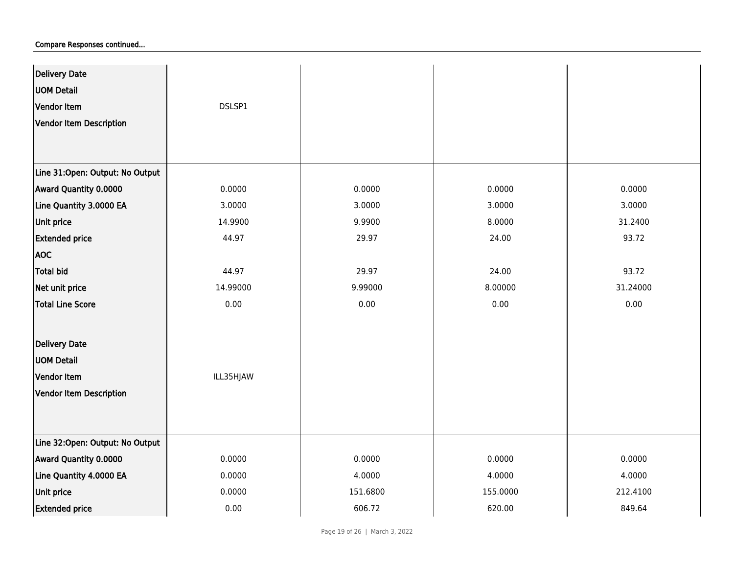| <b>Delivery Date</b>            |           |          |          |          |
|---------------------------------|-----------|----------|----------|----------|
| <b>UOM Detail</b>               |           |          |          |          |
| Vendor Item                     | DSLSP1    |          |          |          |
| Vendor Item Description         |           |          |          |          |
|                                 |           |          |          |          |
|                                 |           |          |          |          |
| Line 31:Open: Output: No Output |           |          |          |          |
| Award Quantity 0.0000           | 0.0000    | 0.0000   | 0.0000   | 0.0000   |
| Line Quantity 3.0000 EA         | 3.0000    | 3.0000   | 3.0000   | 3.0000   |
| Unit price                      | 14.9900   | 9.9900   | 8.0000   | 31.2400  |
| <b>Extended price</b>           | 44.97     | 29.97    | 24.00    | 93.72    |
| <b>AOC</b>                      |           |          |          |          |
| <b>Total bid</b>                | 44.97     | 29.97    | 24.00    | 93.72    |
| Net unit price                  | 14.99000  | 9.99000  | 8.00000  | 31.24000 |
| <b>Total Line Score</b>         | 0.00      | 0.00     | 0.00     | 0.00     |
|                                 |           |          |          |          |
| <b>Delivery Date</b>            |           |          |          |          |
| <b>UOM Detail</b>               |           |          |          |          |
| Vendor Item                     | ILL35HJAW |          |          |          |
| Vendor Item Description         |           |          |          |          |
|                                 |           |          |          |          |
|                                 |           |          |          |          |
| Line 32:Open: Output: No Output |           |          |          |          |
| Award Quantity 0.0000           | 0.0000    | 0.0000   | 0.0000   | 0.0000   |
| Line Quantity 4.0000 EA         | 0.0000    | 4.0000   | 4.0000   | 4.0000   |
| Unit price                      | 0.0000    | 151.6800 | 155.0000 | 212.4100 |
| <b>Extended price</b>           | 0.00      | 606.72   | 620.00   | 849.64   |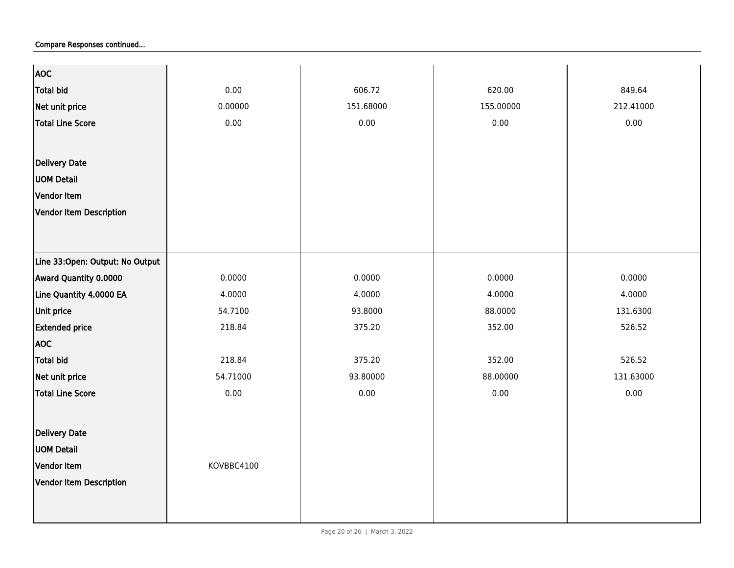| <b>AOC</b>                      |            |           |           |           |
|---------------------------------|------------|-----------|-----------|-----------|
| Total bid                       | 0.00       | 606.72    | 620.00    | 849.64    |
| Net unit price                  | 0.00000    | 151.68000 | 155.00000 | 212.41000 |
| Total Line Score                | 0.00       | 0.00      | 0.00      | 0.00      |
|                                 |            |           |           |           |
| <b>Delivery Date</b>            |            |           |           |           |
| <b>UOM Detail</b>               |            |           |           |           |
|                                 |            |           |           |           |
| Vendor Item                     |            |           |           |           |
| Vendor Item Description         |            |           |           |           |
|                                 |            |           |           |           |
|                                 |            |           |           |           |
| Line 33:Open: Output: No Output |            |           |           |           |
| Award Quantity 0.0000           | 0.0000     | 0.0000    | 0.0000    | 0.0000    |
| Line Quantity 4.0000 EA         | 4.0000     | 4.0000    | 4.0000    | 4.0000    |
| Unit price                      | 54.7100    | 93.8000   | 88.0000   | 131.6300  |
| <b>Extended price</b>           | 218.84     | 375.20    | 352.00    | 526.52    |
| <b>AOC</b>                      |            |           |           |           |
| Total bid                       | 218.84     | 375.20    | 352.00    | 526.52    |
| Net unit price                  | 54.71000   | 93.80000  | 88.00000  | 131.63000 |
| Total Line Score                | 0.00       | 0.00      | 0.00      | 0.00      |
|                                 |            |           |           |           |
| Delivery Date                   |            |           |           |           |
| <b>UOM Detail</b>               |            |           |           |           |
| Vendor Item                     | KOVBBC4100 |           |           |           |
|                                 |            |           |           |           |
| Vendor Item Description         |            |           |           |           |
|                                 |            |           |           |           |
|                                 |            |           |           |           |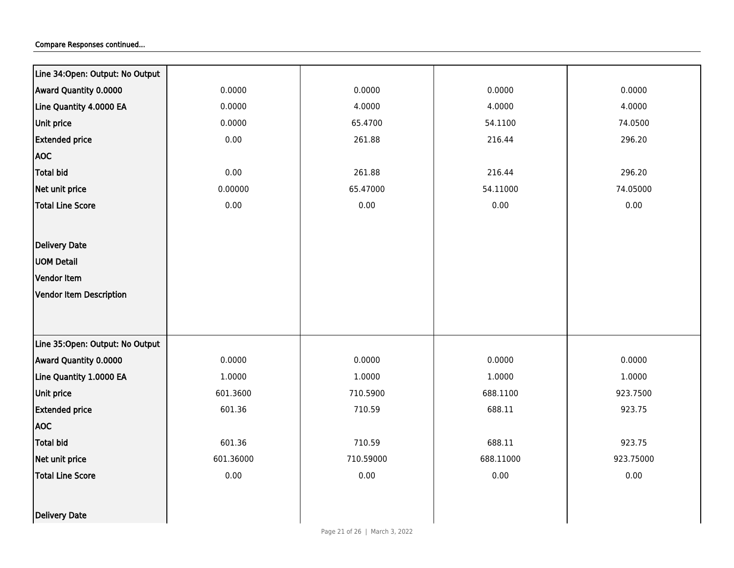| Line 34:Open: Output: No Output |           |           |           |           |
|---------------------------------|-----------|-----------|-----------|-----------|
| Award Quantity 0.0000           | 0.0000    | 0.0000    | 0.0000    | 0.0000    |
| Line Quantity 4.0000 EA         | 0.0000    | 4.0000    | 4.0000    | 4.0000    |
| Unit price                      | 0.0000    | 65.4700   | 54.1100   | 74.0500   |
| <b>Extended price</b>           | 0.00      | 261.88    | 216.44    | 296.20    |
| <b>AOC</b>                      |           |           |           |           |
| <b>Total bid</b>                | 0.00      | 261.88    | 216.44    | 296.20    |
| Net unit price                  | 0.00000   | 65.47000  | 54.11000  | 74.05000  |
| <b>Total Line Score</b>         | 0.00      | $0.00\,$  | 0.00      | 0.00      |
|                                 |           |           |           |           |
| <b>Delivery Date</b>            |           |           |           |           |
| <b>UOM Detail</b>               |           |           |           |           |
| Vendor Item                     |           |           |           |           |
| <b>Vendor Item Description</b>  |           |           |           |           |
|                                 |           |           |           |           |
|                                 |           |           |           |           |
| Line 35:Open: Output: No Output |           |           |           |           |
| Award Quantity 0.0000           | 0.0000    | 0.0000    | 0.0000    | 0.0000    |
| Line Quantity 1.0000 EA         | 1.0000    | 1.0000    | 1.0000    | 1.0000    |
| Unit price                      | 601.3600  | 710.5900  | 688.1100  | 923.7500  |
| <b>Extended price</b>           | 601.36    | 710.59    | 688.11    | 923.75    |
| <b>AOC</b>                      |           |           |           |           |
| <b>Total bid</b>                | 601.36    | 710.59    | 688.11    | 923.75    |
| Net unit price                  | 601.36000 | 710.59000 | 688.11000 | 923.75000 |
| <b>Total Line Score</b>         | 0.00      | 0.00      | 0.00      | 0.00      |
|                                 |           |           |           |           |
| Delivery Date                   |           |           |           |           |
|                                 |           |           |           |           |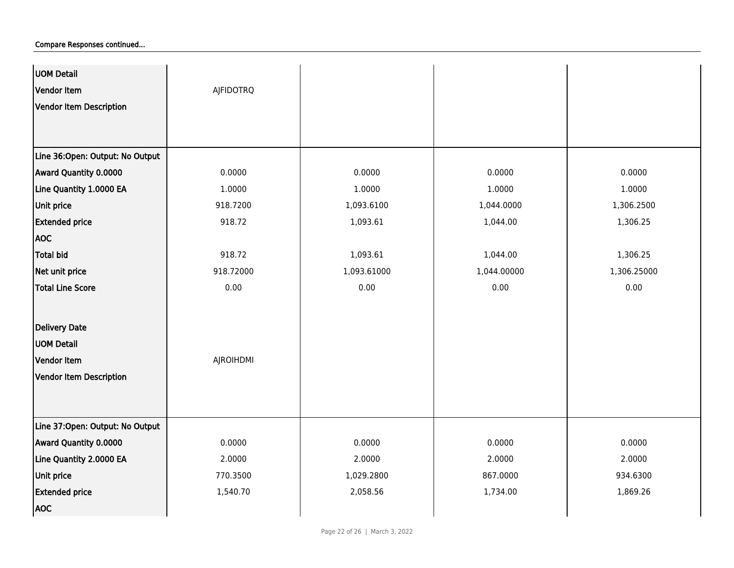| UOM Detail<br>Vendor Item       | <b>AJFIDOTRQ</b> |             |             |             |
|---------------------------------|------------------|-------------|-------------|-------------|
| Vendor Item Description         |                  |             |             |             |
|                                 |                  |             |             |             |
| Line 36:Open: Output: No Output |                  |             |             |             |
| Award Quantity 0.0000           | 0.0000           | 0.0000      | 0.0000      | 0.0000      |
| Line Quantity 1.0000 EA         | 1.0000           | 1.0000      | 1.0000      | 1.0000      |
| <b>Unit price</b>               | 918.7200         | 1,093.6100  | 1,044.0000  | 1,306.2500  |
| <b>Extended price</b>           | 918.72           | 1,093.61    | 1,044.00    | 1,306.25    |
| <b>AOC</b>                      |                  |             |             |             |
| <b>Total bid</b>                | 918.72           | 1,093.61    | 1,044.00    | 1,306.25    |
| Net unit price                  | 918.72000        | 1,093.61000 | 1,044.00000 | 1,306.25000 |
| <b>Total Line Score</b>         | 0.00             | 0.00        | 0.00        | 0.00        |
|                                 |                  |             |             |             |
| Delivery Date                   |                  |             |             |             |
| <b>UOM Detail</b>               |                  |             |             |             |
| Vendor Item                     | <b>AJROIHDMI</b> |             |             |             |
| Vendor Item Description         |                  |             |             |             |
|                                 |                  |             |             |             |
|                                 |                  |             |             |             |
| Line 37:Open: Output: No Output |                  |             |             |             |
| Award Quantity 0.0000           | 0.0000           | 0.0000      | 0.0000      | 0.0000      |
| Line Quantity 2.0000 EA         | 2.0000           | 2.0000      | 2.0000      | 2.0000      |
| Unit price                      | 770.3500         | 1,029.2800  | 867.0000    | 934.6300    |
| <b>Extended price</b>           | 1,540.70         | 2,058.56    | 1,734.00    | 1,869.26    |
| <b>AOC</b>                      |                  |             |             |             |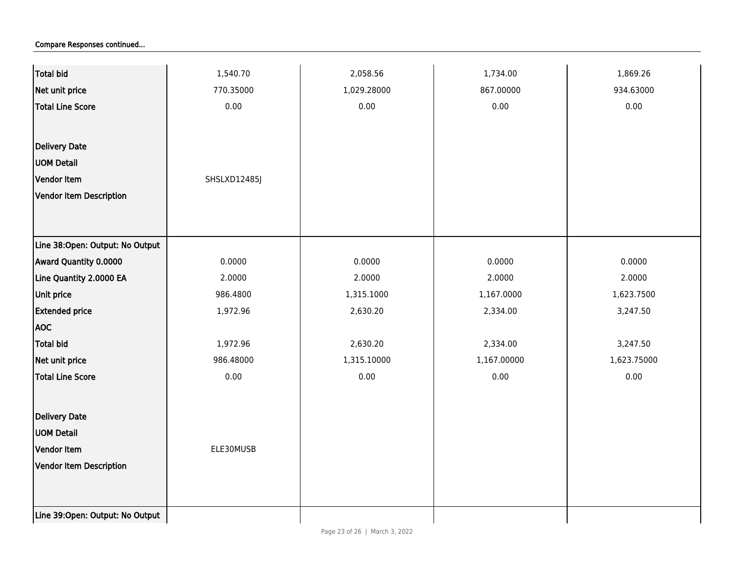| <b>Total bid</b>                | 1,540.70     | 2,058.56    | 1,734.00    | 1,869.26    |
|---------------------------------|--------------|-------------|-------------|-------------|
| Net unit price                  | 770.35000    | 1,029.28000 | 867.00000   | 934.63000   |
| <b>Total Line Score</b>         | 0.00         | 0.00        | 0.00        | 0.00        |
|                                 |              |             |             |             |
| Delivery Date                   |              |             |             |             |
| <b>UOM Detail</b>               |              |             |             |             |
| Vendor Item                     | SHSLXD12485J |             |             |             |
| <b>Vendor Item Description</b>  |              |             |             |             |
|                                 |              |             |             |             |
|                                 |              |             |             |             |
| Line 38:Open: Output: No Output |              |             |             |             |
| Award Quantity 0.0000           | 0.0000       | 0.0000      | 0.0000      | 0.0000      |
| Line Quantity 2.0000 EA         | 2.0000       | 2.0000      | 2.0000      | 2.0000      |
| Unit price                      | 986.4800     | 1,315.1000  | 1,167.0000  | 1,623.7500  |
| <b>Extended price</b>           | 1,972.96     | 2,630.20    | 2,334.00    | 3,247.50    |
| <b>AOC</b>                      |              |             |             |             |
| <b>Total bid</b>                | 1,972.96     | 2,630.20    | 2,334.00    | 3,247.50    |
| Net unit price                  | 986.48000    | 1,315.10000 | 1,167.00000 | 1,623.75000 |
| <b>Total Line Score</b>         | 0.00         | 0.00        | 0.00        | $0.00\,$    |
|                                 |              |             |             |             |
| Delivery Date                   |              |             |             |             |
| <b>UOM Detail</b>               |              |             |             |             |
| Vendor Item                     | ELE30MUSB    |             |             |             |
| Vendor Item Description         |              |             |             |             |
|                                 |              |             |             |             |
|                                 |              |             |             |             |
| Line 39:Open: Output: No Output |              |             |             |             |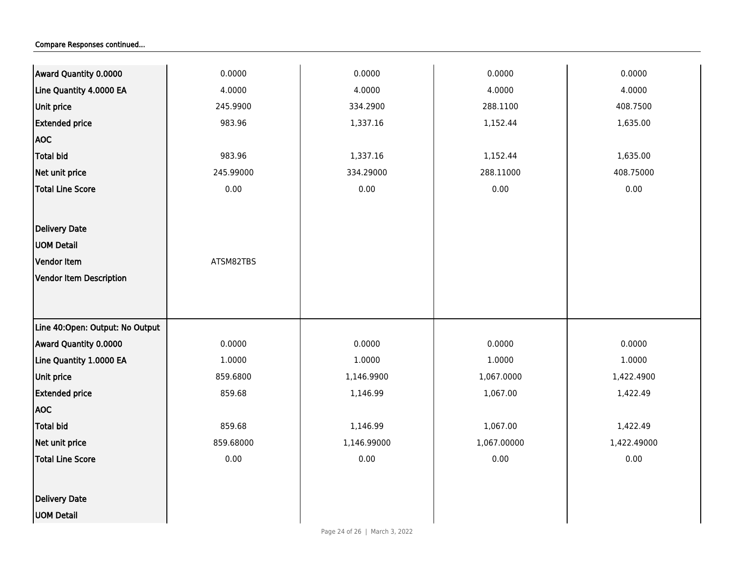| Line Quantity 4.0000 EA<br>4.0000<br>4.0000<br>4.0000<br>Unit price<br>245.9900<br>334.2900<br>288.1100<br><b>Extended price</b><br>983.96<br>1,152.44<br>1,337.16 | 4.0000<br>408.7500<br>1,635.00 |
|--------------------------------------------------------------------------------------------------------------------------------------------------------------------|--------------------------------|
|                                                                                                                                                                    |                                |
|                                                                                                                                                                    |                                |
|                                                                                                                                                                    |                                |
| <b>AOC</b>                                                                                                                                                         |                                |
| Total bid<br>983.96<br>1,337.16<br>1,152.44                                                                                                                        | 1,635.00                       |
| Net unit price<br>245.99000<br>334.29000<br>288.11000                                                                                                              | 408.75000                      |
| <b>Total Line Score</b><br>0.00<br>0.00<br>0.00                                                                                                                    | 0.00                           |
|                                                                                                                                                                    |                                |
| <b>Delivery Date</b>                                                                                                                                               |                                |
| <b>UOM Detail</b>                                                                                                                                                  |                                |
| <b>Vendor Item</b><br>ATSM82TBS                                                                                                                                    |                                |
| Vendor Item Description                                                                                                                                            |                                |
|                                                                                                                                                                    |                                |
|                                                                                                                                                                    |                                |
| Line 40:Open: Output: No Output                                                                                                                                    |                                |
| Award Quantity 0.0000<br>0.0000<br>0.0000<br>0.0000                                                                                                                | 0.0000                         |
| Line Quantity 1.0000 EA<br>1.0000<br>1.0000<br>1.0000                                                                                                              | 1.0000                         |
| Unit price<br>859.6800<br>1,146.9900<br>1,067.0000                                                                                                                 | 1,422.4900                     |
| 859.68<br><b>Extended price</b><br>1,146.99<br>1,067.00                                                                                                            | 1,422.49                       |
| <b>AOC</b>                                                                                                                                                         |                                |
| <b>Total bid</b><br>859.68<br>1,146.99<br>1,067.00                                                                                                                 | 1,422.49                       |
| Net unit price<br>859.68000<br>1,146.99000<br>1,067.00000                                                                                                          | 1,422.49000                    |
| <b>Total Line Score</b><br>0.00<br>0.00<br>0.00                                                                                                                    | 0.00                           |
|                                                                                                                                                                    |                                |
| <b>Delivery Date</b>                                                                                                                                               |                                |
| <b>UOM Detail</b>                                                                                                                                                  |                                |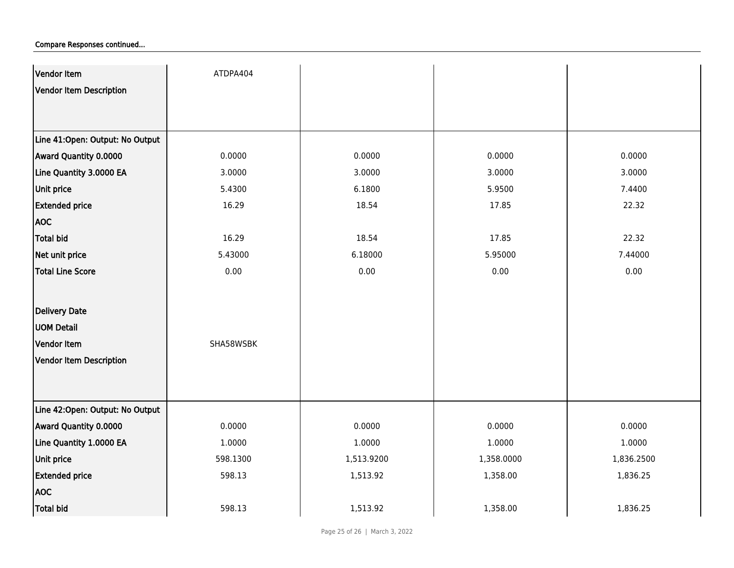| Vendor Item                      | ATDPA404  |            |            |            |
|----------------------------------|-----------|------------|------------|------------|
| Vendor Item Description          |           |            |            |            |
|                                  |           |            |            |            |
|                                  |           |            |            |            |
| Line 41: Open: Output: No Output |           |            |            |            |
| Award Quantity 0.0000            | 0.0000    | 0.0000     | 0.0000     | 0.0000     |
| Line Quantity 3.0000 EA          | 3.0000    | 3.0000     | 3.0000     | 3.0000     |
| <b>Unit price</b>                | 5.4300    | 6.1800     | 5.9500     | 7.4400     |
| <b>Extended price</b>            | 16.29     | 18.54      | 17.85      | 22.32      |
| <b>AOC</b>                       |           |            |            |            |
| Total bid                        | 16.29     | 18.54      | 17.85      | 22.32      |
| Net unit price                   | 5.43000   | 6.18000    | 5.95000    | 7.44000    |
| <b>Total Line Score</b>          | 0.00      | 0.00       | 0.00       | 0.00       |
|                                  |           |            |            |            |
| Delivery Date                    |           |            |            |            |
| <b>UOM Detail</b>                |           |            |            |            |
| Vendor Item                      | SHA58WSBK |            |            |            |
| Vendor Item Description          |           |            |            |            |
|                                  |           |            |            |            |
|                                  |           |            |            |            |
| Line 42: Open: Output: No Output |           |            |            |            |
| Award Quantity 0.0000            | 0.0000    | 0.0000     | 0.0000     | 0.0000     |
| Line Quantity 1.0000 EA          | 1.0000    | 1.0000     | 1.0000     | 1.0000     |
| <b>Unit price</b>                | 598.1300  | 1,513.9200 | 1,358.0000 | 1,836.2500 |
| <b>Extended price</b>            | 598.13    | 1,513.92   | 1,358.00   | 1,836.25   |
| <b>AOC</b>                       |           |            |            |            |
| <b>Total bid</b>                 | 598.13    | 1,513.92   | 1,358.00   | 1,836.25   |